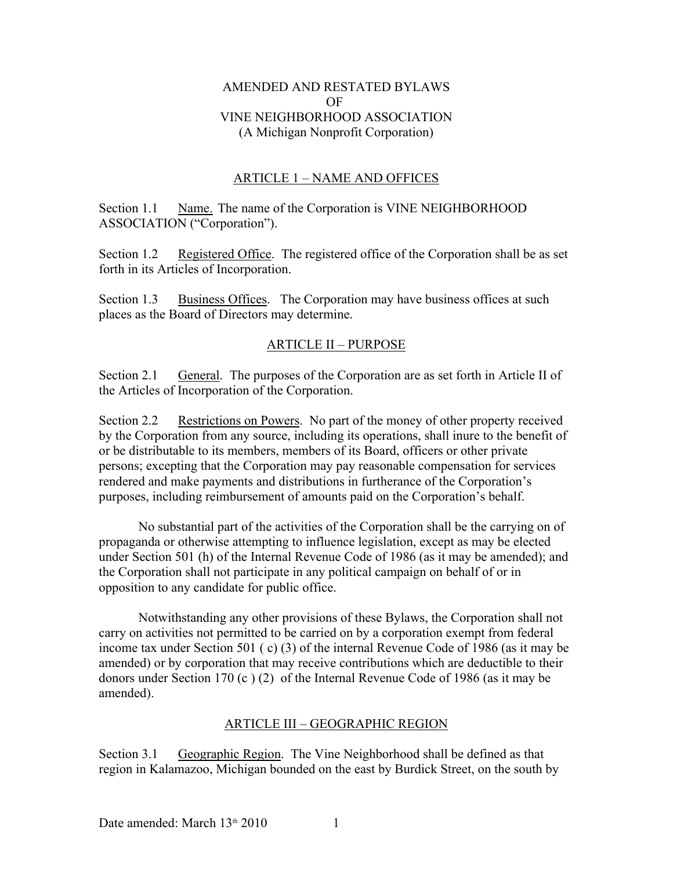#### AMENDED AND RESTATED BYLAWS OF VINE NEIGHBORHOOD ASSOCIATION (A Michigan Nonprofit Corporation)

#### ARTICLE 1 – NAME AND OFFICES

Section 1.1 Name. The name of the Corporation is VINE NEIGHBORHOOD ASSOCIATION ("Corporation").

Section 1.2 Registered Office. The registered office of the Corporation shall be as set forth in its Articles of Incorporation.

Section 1.3 Business Offices. The Corporation may have business offices at such places as the Board of Directors may determine.

#### ARTICLE II – PURPOSE

Section 2.1 General. The purposes of the Corporation are as set forth in Article II of the Articles of Incorporation of the Corporation.

Section 2.2 Restrictions on Powers. No part of the money of other property received by the Corporation from any source, including its operations, shall inure to the benefit of or be distributable to its members, members of its Board, officers or other private persons; excepting that the Corporation may pay reasonable compensation for services rendered and make payments and distributions in furtherance of the Corporation's purposes, including reimbursement of amounts paid on the Corporation's behalf.

No substantial part of the activities of the Corporation shall be the carrying on of propaganda or otherwise attempting to influence legislation, except as may be elected under Section 501 (h) of the Internal Revenue Code of 1986 (as it may be amended); and the Corporation shall not participate in any political campaign on behalf of or in opposition to any candidate for public office.

Notwithstanding any other provisions of these Bylaws, the Corporation shall not carry on activities not permitted to be carried on by a corporation exempt from federal income tax under Section 501 ( c) (3) of the internal Revenue Code of 1986 (as it may be amended) or by corporation that may receive contributions which are deductible to their donors under Section 170 (c ) (2) of the Internal Revenue Code of 1986 (as it may be amended).

#### ARTICLE III – GEOGRAPHIC REGION

Section 3.1 Geographic Region. The Vine Neighborhood shall be defined as that region in Kalamazoo, Michigan bounded on the east by Burdick Street, on the south by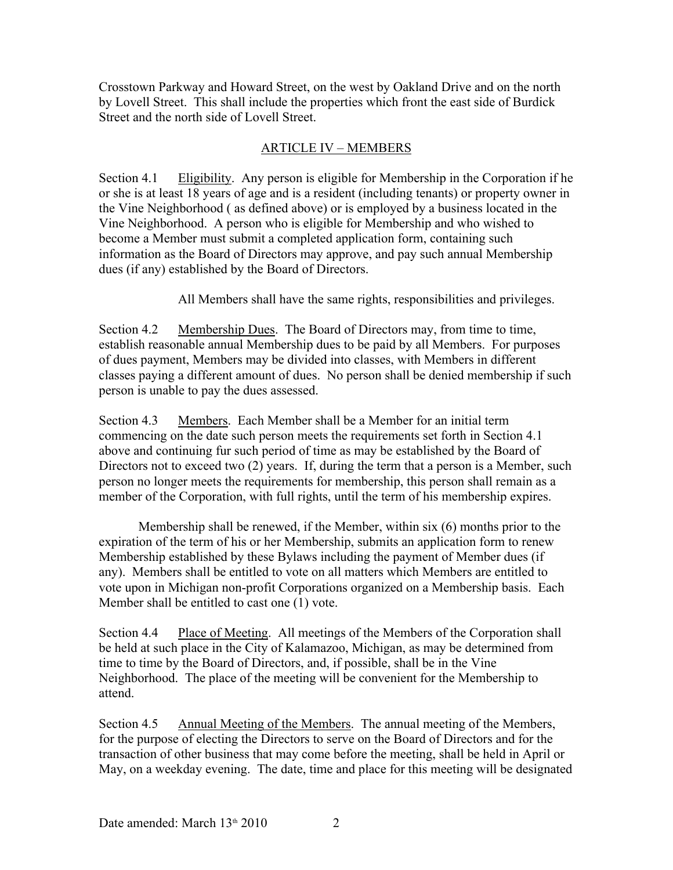Crosstown Parkway and Howard Street, on the west by Oakland Drive and on the north by Lovell Street. This shall include the properties which front the east side of Burdick Street and the north side of Lovell Street.

### ARTICLE IV – MEMBERS

Section 4.1 Eligibility. Any person is eligible for Membership in the Corporation if he or she is at least 18 years of age and is a resident (including tenants) or property owner in the Vine Neighborhood ( as defined above) or is employed by a business located in the Vine Neighborhood. A person who is eligible for Membership and who wished to become a Member must submit a completed application form, containing such information as the Board of Directors may approve, and pay such annual Membership dues (if any) established by the Board of Directors.

All Members shall have the same rights, responsibilities and privileges.

Section 4.2 Membership Dues. The Board of Directors may, from time to time, establish reasonable annual Membership dues to be paid by all Members. For purposes of dues payment, Members may be divided into classes, with Members in different classes paying a different amount of dues. No person shall be denied membership if such person is unable to pay the dues assessed.

Section 4.3 Members. Each Member shall be a Member for an initial term commencing on the date such person meets the requirements set forth in Section 4.1 above and continuing fur such period of time as may be established by the Board of Directors not to exceed two (2) years. If, during the term that a person is a Member, such person no longer meets the requirements for membership, this person shall remain as a member of the Corporation, with full rights, until the term of his membership expires.

Membership shall be renewed, if the Member, within six (6) months prior to the expiration of the term of his or her Membership, submits an application form to renew Membership established by these Bylaws including the payment of Member dues (if any). Members shall be entitled to vote on all matters which Members are entitled to vote upon in Michigan non-profit Corporations organized on a Membership basis. Each Member shall be entitled to cast one (1) vote.

Section 4.4 Place of Meeting. All meetings of the Members of the Corporation shall be held at such place in the City of Kalamazoo, Michigan, as may be determined from time to time by the Board of Directors, and, if possible, shall be in the Vine Neighborhood. The place of the meeting will be convenient for the Membership to attend.

Section 4.5 Annual Meeting of the Members. The annual meeting of the Members, for the purpose of electing the Directors to serve on the Board of Directors and for the transaction of other business that may come before the meeting, shall be held in April or May, on a weekday evening. The date, time and place for this meeting will be designated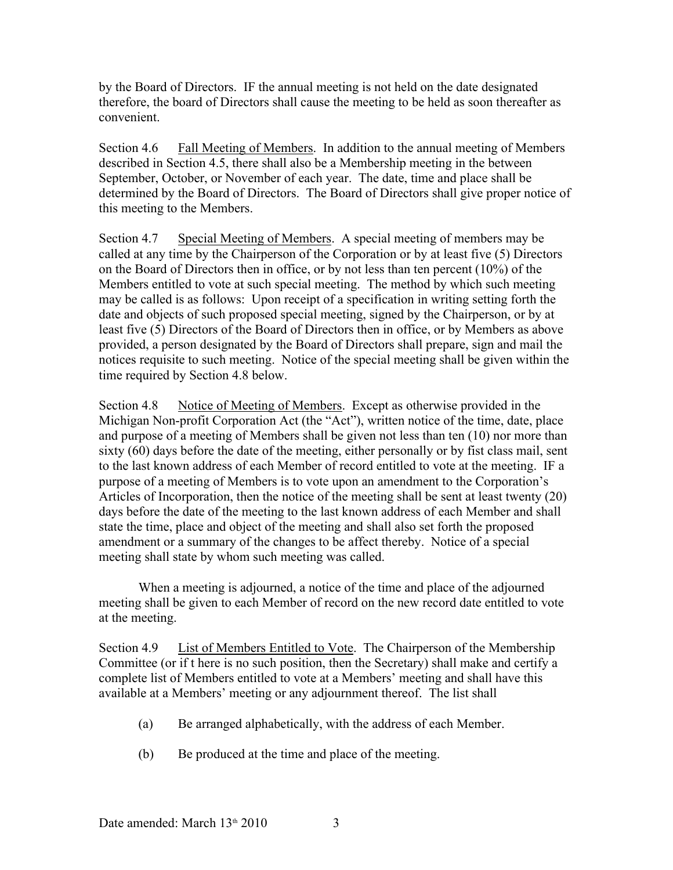by the Board of Directors. IF the annual meeting is not held on the date designated therefore, the board of Directors shall cause the meeting to be held as soon thereafter as convenient.

Section 4.6 Fall Meeting of Members. In addition to the annual meeting of Members described in Section 4.5, there shall also be a Membership meeting in the between September, October, or November of each year. The date, time and place shall be determined by the Board of Directors. The Board of Directors shall give proper notice of this meeting to the Members.

Section 4.7 Special Meeting of Members. A special meeting of members may be called at any time by the Chairperson of the Corporation or by at least five (5) Directors on the Board of Directors then in office, or by not less than ten percent (10%) of the Members entitled to vote at such special meeting. The method by which such meeting may be called is as follows: Upon receipt of a specification in writing setting forth the date and objects of such proposed special meeting, signed by the Chairperson, or by at least five (5) Directors of the Board of Directors then in office, or by Members as above provided, a person designated by the Board of Directors shall prepare, sign and mail the notices requisite to such meeting. Notice of the special meeting shall be given within the time required by Section 4.8 below.

Section 4.8 Notice of Meeting of Members. Except as otherwise provided in the Michigan Non-profit Corporation Act (the "Act"), written notice of the time, date, place and purpose of a meeting of Members shall be given not less than ten (10) nor more than sixty (60) days before the date of the meeting, either personally or by fist class mail, sent to the last known address of each Member of record entitled to vote at the meeting. IF a purpose of a meeting of Members is to vote upon an amendment to the Corporation's Articles of Incorporation, then the notice of the meeting shall be sent at least twenty (20) days before the date of the meeting to the last known address of each Member and shall state the time, place and object of the meeting and shall also set forth the proposed amendment or a summary of the changes to be affect thereby. Notice of a special meeting shall state by whom such meeting was called.

When a meeting is adjourned, a notice of the time and place of the adjourned meeting shall be given to each Member of record on the new record date entitled to vote at the meeting.

Section 4.9 List of Members Entitled to Vote. The Chairperson of the Membership Committee (or if t here is no such position, then the Secretary) shall make and certify a complete list of Members entitled to vote at a Members' meeting and shall have this available at a Members' meeting or any adjournment thereof. The list shall

- (a) Be arranged alphabetically, with the address of each Member.
- (b) Be produced at the time and place of the meeting.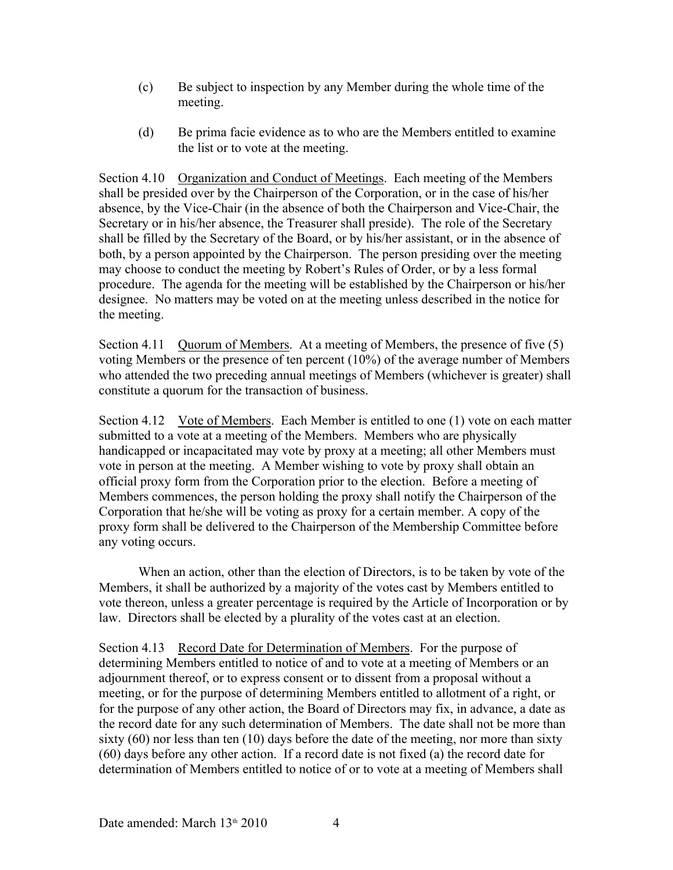- (c) Be subject to inspection by any Member during the whole time of the meeting.
- (d) Be prima facie evidence as to who are the Members entitled to examine the list or to vote at the meeting.

Section 4.10 Organization and Conduct of Meetings. Each meeting of the Members shall be presided over by the Chairperson of the Corporation, or in the case of his/her absence, by the Vice-Chair (in the absence of both the Chairperson and Vice-Chair, the Secretary or in his/her absence, the Treasurer shall preside). The role of the Secretary shall be filled by the Secretary of the Board, or by his/her assistant, or in the absence of both, by a person appointed by the Chairperson. The person presiding over the meeting may choose to conduct the meeting by Robert's Rules of Order, or by a less formal procedure. The agenda for the meeting will be established by the Chairperson or his/her designee. No matters may be voted on at the meeting unless described in the notice for the meeting.

Section 4.11 Quorum of Members. At a meeting of Members, the presence of five (5) voting Members or the presence of ten percent (10%) of the average number of Members who attended the two preceding annual meetings of Members (whichever is greater) shall constitute a quorum for the transaction of business.

Section 4.12 Vote of Members. Each Member is entitled to one (1) vote on each matter submitted to a vote at a meeting of the Members. Members who are physically handicapped or incapacitated may vote by proxy at a meeting; all other Members must vote in person at the meeting. A Member wishing to vote by proxy shall obtain an official proxy form from the Corporation prior to the election. Before a meeting of Members commences, the person holding the proxy shall notify the Chairperson of the Corporation that he/she will be voting as proxy for a certain member. A copy of the proxy form shall be delivered to the Chairperson of the Membership Committee before any voting occurs.

When an action, other than the election of Directors, is to be taken by vote of the Members, it shall be authorized by a majority of the votes cast by Members entitled to vote thereon, unless a greater percentage is required by the Article of Incorporation or by law. Directors shall be elected by a plurality of the votes cast at an election.

Section 4.13 Record Date for Determination of Members. For the purpose of determining Members entitled to notice of and to vote at a meeting of Members or an adjournment thereof, or to express consent or to dissent from a proposal without a meeting, or for the purpose of determining Members entitled to allotment of a right, or for the purpose of any other action, the Board of Directors may fix, in advance, a date as the record date for any such determination of Members. The date shall not be more than sixty (60) nor less than ten (10) days before the date of the meeting, nor more than sixty (60) days before any other action. If a record date is not fixed (a) the record date for determination of Members entitled to notice of or to vote at a meeting of Members shall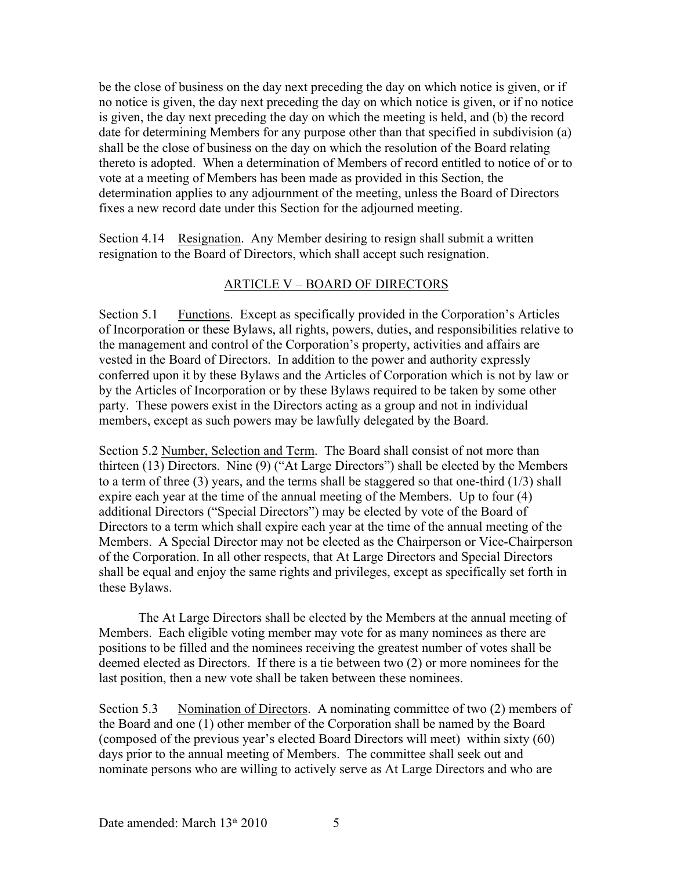be the close of business on the day next preceding the day on which notice is given, or if no notice is given, the day next preceding the day on which notice is given, or if no notice is given, the day next preceding the day on which the meeting is held, and (b) the record date for determining Members for any purpose other than that specified in subdivision (a) shall be the close of business on the day on which the resolution of the Board relating thereto is adopted. When a determination of Members of record entitled to notice of or to vote at a meeting of Members has been made as provided in this Section, the determination applies to any adjournment of the meeting, unless the Board of Directors fixes a new record date under this Section for the adjourned meeting.

Section 4.14 Resignation. Any Member desiring to resign shall submit a written resignation to the Board of Directors, which shall accept such resignation.

## ARTICLE V – BOARD OF DIRECTORS

Section 5.1 Functions. Except as specifically provided in the Corporation's Articles of Incorporation or these Bylaws, all rights, powers, duties, and responsibilities relative to the management and control of the Corporation's property, activities and affairs are vested in the Board of Directors. In addition to the power and authority expressly conferred upon it by these Bylaws and the Articles of Corporation which is not by law or by the Articles of Incorporation or by these Bylaws required to be taken by some other party. These powers exist in the Directors acting as a group and not in individual members, except as such powers may be lawfully delegated by the Board.

Section 5.2 Number, Selection and Term. The Board shall consist of not more than thirteen (13) Directors. Nine (9) ("At Large Directors") shall be elected by the Members to a term of three (3) years, and the terms shall be staggered so that one-third (1/3) shall expire each year at the time of the annual meeting of the Members. Up to four (4) additional Directors ("Special Directors") may be elected by vote of the Board of Directors to a term which shall expire each year at the time of the annual meeting of the Members. A Special Director may not be elected as the Chairperson or Vice-Chairperson of the Corporation. In all other respects, that At Large Directors and Special Directors shall be equal and enjoy the same rights and privileges, except as specifically set forth in these Bylaws.

The At Large Directors shall be elected by the Members at the annual meeting of Members. Each eligible voting member may vote for as many nominees as there are positions to be filled and the nominees receiving the greatest number of votes shall be deemed elected as Directors. If there is a tie between two (2) or more nominees for the last position, then a new vote shall be taken between these nominees.

Section 5.3 Nomination of Directors. A nominating committee of two (2) members of the Board and one (1) other member of the Corporation shall be named by the Board (composed of the previous year's elected Board Directors will meet) within sixty (60) days prior to the annual meeting of Members. The committee shall seek out and nominate persons who are willing to actively serve as At Large Directors and who are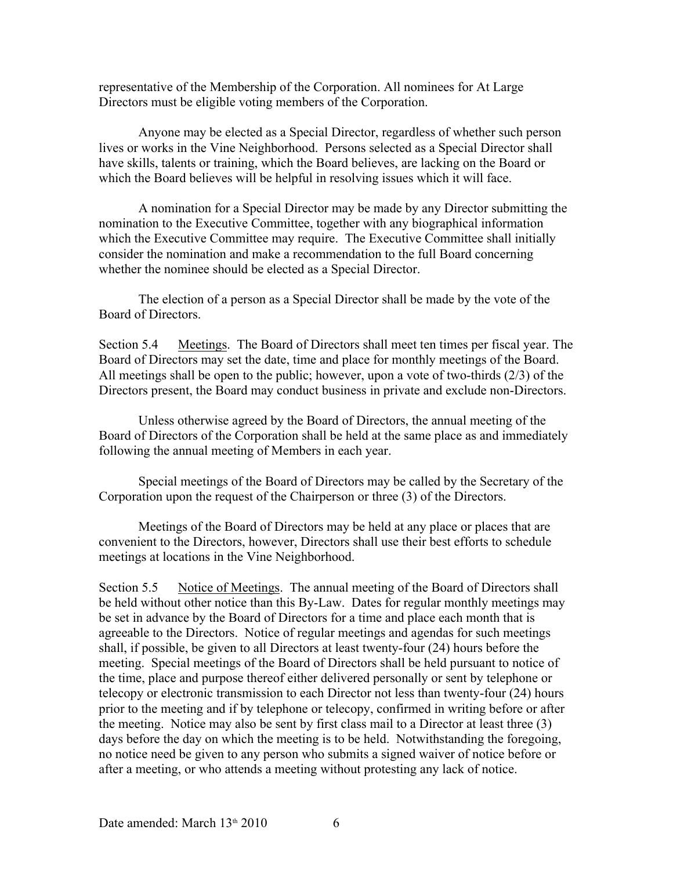representative of the Membership of the Corporation. All nominees for At Large Directors must be eligible voting members of the Corporation.

Anyone may be elected as a Special Director, regardless of whether such person lives or works in the Vine Neighborhood. Persons selected as a Special Director shall have skills, talents or training, which the Board believes, are lacking on the Board or which the Board believes will be helpful in resolving issues which it will face.

A nomination for a Special Director may be made by any Director submitting the nomination to the Executive Committee, together with any biographical information which the Executive Committee may require. The Executive Committee shall initially consider the nomination and make a recommendation to the full Board concerning whether the nominee should be elected as a Special Director.

The election of a person as a Special Director shall be made by the vote of the Board of Directors.

Section 5.4 Meetings. The Board of Directors shall meet ten times per fiscal year. The Board of Directors may set the date, time and place for monthly meetings of the Board. All meetings shall be open to the public; however, upon a vote of two-thirds (2/3) of the Directors present, the Board may conduct business in private and exclude non-Directors.

Unless otherwise agreed by the Board of Directors, the annual meeting of the Board of Directors of the Corporation shall be held at the same place as and immediately following the annual meeting of Members in each year.

Special meetings of the Board of Directors may be called by the Secretary of the Corporation upon the request of the Chairperson or three (3) of the Directors.

Meetings of the Board of Directors may be held at any place or places that are convenient to the Directors, however, Directors shall use their best efforts to schedule meetings at locations in the Vine Neighborhood.

Section 5.5 Notice of Meetings. The annual meeting of the Board of Directors shall be held without other notice than this By-Law. Dates for regular monthly meetings may be set in advance by the Board of Directors for a time and place each month that is agreeable to the Directors. Notice of regular meetings and agendas for such meetings shall, if possible, be given to all Directors at least twenty-four (24) hours before the meeting. Special meetings of the Board of Directors shall be held pursuant to notice of the time, place and purpose thereof either delivered personally or sent by telephone or telecopy or electronic transmission to each Director not less than twenty-four (24) hours prior to the meeting and if by telephone or telecopy, confirmed in writing before or after the meeting. Notice may also be sent by first class mail to a Director at least three (3) days before the day on which the meeting is to be held. Notwithstanding the foregoing, no notice need be given to any person who submits a signed waiver of notice before or after a meeting, or who attends a meeting without protesting any lack of notice.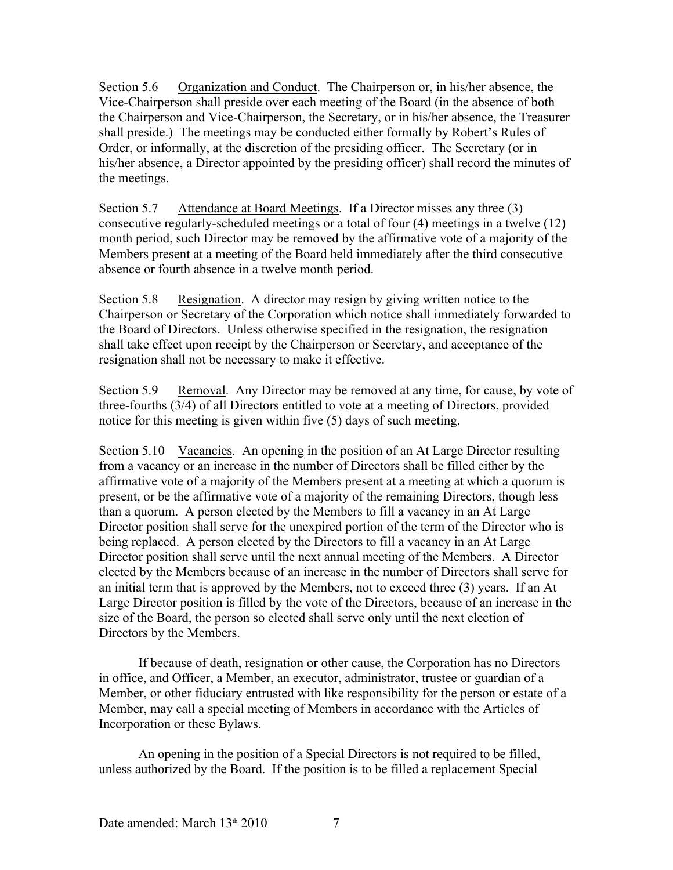Section 5.6 Organization and Conduct. The Chairperson or, in his/her absence, the Vice-Chairperson shall preside over each meeting of the Board (in the absence of both the Chairperson and Vice-Chairperson, the Secretary, or in his/her absence, the Treasurer shall preside.) The meetings may be conducted either formally by Robert's Rules of Order, or informally, at the discretion of the presiding officer. The Secretary (or in his/her absence, a Director appointed by the presiding officer) shall record the minutes of the meetings.

Section 5.7 Attendance at Board Meetings. If a Director misses any three (3) consecutive regularly-scheduled meetings or a total of four (4) meetings in a twelve (12) month period, such Director may be removed by the affirmative vote of a majority of the Members present at a meeting of the Board held immediately after the third consecutive absence or fourth absence in a twelve month period.

Section 5.8 Resignation. A director may resign by giving written notice to the Chairperson or Secretary of the Corporation which notice shall immediately forwarded to the Board of Directors. Unless otherwise specified in the resignation, the resignation shall take effect upon receipt by the Chairperson or Secretary, and acceptance of the resignation shall not be necessary to make it effective.

Section 5.9 Removal. Any Director may be removed at any time, for cause, by vote of three-fourths (3/4) of all Directors entitled to vote at a meeting of Directors, provided notice for this meeting is given within five (5) days of such meeting.

Section 5.10 Vacancies. An opening in the position of an At Large Director resulting from a vacancy or an increase in the number of Directors shall be filled either by the affirmative vote of a majority of the Members present at a meeting at which a quorum is present, or be the affirmative vote of a majority of the remaining Directors, though less than a quorum. A person elected by the Members to fill a vacancy in an At Large Director position shall serve for the unexpired portion of the term of the Director who is being replaced. A person elected by the Directors to fill a vacancy in an At Large Director position shall serve until the next annual meeting of the Members. A Director elected by the Members because of an increase in the number of Directors shall serve for an initial term that is approved by the Members, not to exceed three (3) years. If an At Large Director position is filled by the vote of the Directors, because of an increase in the size of the Board, the person so elected shall serve only until the next election of Directors by the Members.

If because of death, resignation or other cause, the Corporation has no Directors in office, and Officer, a Member, an executor, administrator, trustee or guardian of a Member, or other fiduciary entrusted with like responsibility for the person or estate of a Member, may call a special meeting of Members in accordance with the Articles of Incorporation or these Bylaws.

An opening in the position of a Special Directors is not required to be filled, unless authorized by the Board. If the position is to be filled a replacement Special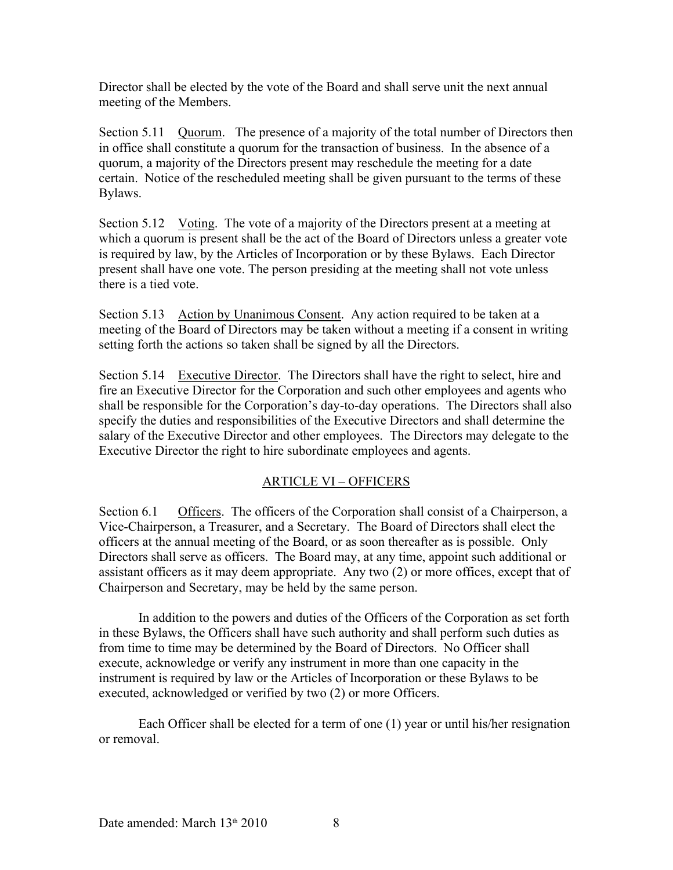Director shall be elected by the vote of the Board and shall serve unit the next annual meeting of the Members.

Section 5.11 Quorum. The presence of a majority of the total number of Directors then in office shall constitute a quorum for the transaction of business. In the absence of a quorum, a majority of the Directors present may reschedule the meeting for a date certain. Notice of the rescheduled meeting shall be given pursuant to the terms of these Bylaws.

Section 5.12 Voting. The vote of a majority of the Directors present at a meeting at which a quorum is present shall be the act of the Board of Directors unless a greater vote is required by law, by the Articles of Incorporation or by these Bylaws. Each Director present shall have one vote. The person presiding at the meeting shall not vote unless there is a tied vote.

Section 5.13 Action by Unanimous Consent. Any action required to be taken at a meeting of the Board of Directors may be taken without a meeting if a consent in writing setting forth the actions so taken shall be signed by all the Directors.

Section 5.14 Executive Director. The Directors shall have the right to select, hire and fire an Executive Director for the Corporation and such other employees and agents who shall be responsible for the Corporation's day-to-day operations. The Directors shall also specify the duties and responsibilities of the Executive Directors and shall determine the salary of the Executive Director and other employees. The Directors may delegate to the Executive Director the right to hire subordinate employees and agents.

### ARTICLE VI – OFFICERS

Section 6.1 Officers. The officers of the Corporation shall consist of a Chairperson, a Vice-Chairperson, a Treasurer, and a Secretary. The Board of Directors shall elect the officers at the annual meeting of the Board, or as soon thereafter as is possible. Only Directors shall serve as officers. The Board may, at any time, appoint such additional or assistant officers as it may deem appropriate. Any two (2) or more offices, except that of Chairperson and Secretary, may be held by the same person.

In addition to the powers and duties of the Officers of the Corporation as set forth in these Bylaws, the Officers shall have such authority and shall perform such duties as from time to time may be determined by the Board of Directors. No Officer shall execute, acknowledge or verify any instrument in more than one capacity in the instrument is required by law or the Articles of Incorporation or these Bylaws to be executed, acknowledged or verified by two (2) or more Officers.

Each Officer shall be elected for a term of one (1) year or until his/her resignation or removal.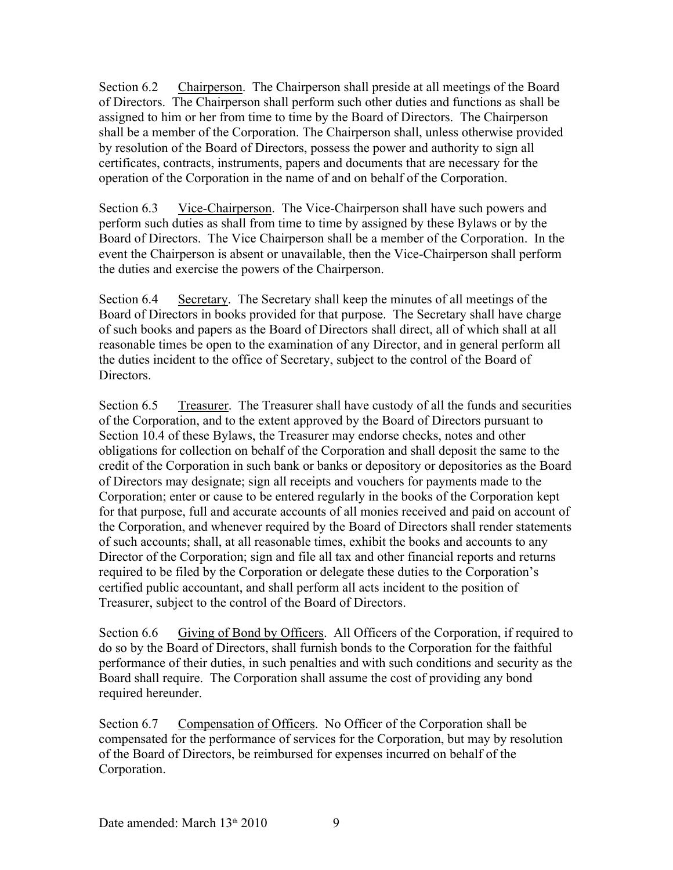Section 6.2 Chairperson. The Chairperson shall preside at all meetings of the Board of Directors. The Chairperson shall perform such other duties and functions as shall be assigned to him or her from time to time by the Board of Directors. The Chairperson shall be a member of the Corporation. The Chairperson shall, unless otherwise provided by resolution of the Board of Directors, possess the power and authority to sign all certificates, contracts, instruments, papers and documents that are necessary for the operation of the Corporation in the name of and on behalf of the Corporation.

Section 6.3 Vice-Chairperson. The Vice-Chairperson shall have such powers and perform such duties as shall from time to time by assigned by these Bylaws or by the Board of Directors. The Vice Chairperson shall be a member of the Corporation. In the event the Chairperson is absent or unavailable, then the Vice-Chairperson shall perform the duties and exercise the powers of the Chairperson.

Section 6.4 Secretary. The Secretary shall keep the minutes of all meetings of the Board of Directors in books provided for that purpose. The Secretary shall have charge of such books and papers as the Board of Directors shall direct, all of which shall at all reasonable times be open to the examination of any Director, and in general perform all the duties incident to the office of Secretary, subject to the control of the Board of Directors.

Section 6.5 Treasurer. The Treasurer shall have custody of all the funds and securities of the Corporation, and to the extent approved by the Board of Directors pursuant to Section 10.4 of these Bylaws, the Treasurer may endorse checks, notes and other obligations for collection on behalf of the Corporation and shall deposit the same to the credit of the Corporation in such bank or banks or depository or depositories as the Board of Directors may designate; sign all receipts and vouchers for payments made to the Corporation; enter or cause to be entered regularly in the books of the Corporation kept for that purpose, full and accurate accounts of all monies received and paid on account of the Corporation, and whenever required by the Board of Directors shall render statements of such accounts; shall, at all reasonable times, exhibit the books and accounts to any Director of the Corporation; sign and file all tax and other financial reports and returns required to be filed by the Corporation or delegate these duties to the Corporation's certified public accountant, and shall perform all acts incident to the position of Treasurer, subject to the control of the Board of Directors.

Section 6.6 Giving of Bond by Officers. All Officers of the Corporation, if required to do so by the Board of Directors, shall furnish bonds to the Corporation for the faithful performance of their duties, in such penalties and with such conditions and security as the Board shall require. The Corporation shall assume the cost of providing any bond required hereunder.

Section 6.7 Compensation of Officers. No Officer of the Corporation shall be compensated for the performance of services for the Corporation, but may by resolution of the Board of Directors, be reimbursed for expenses incurred on behalf of the Corporation.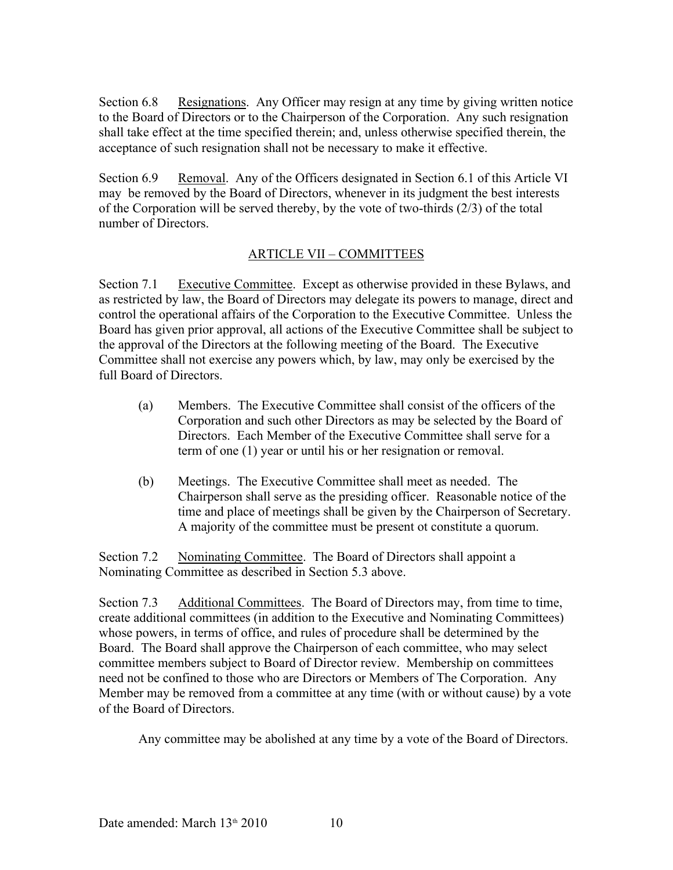Section 6.8 Resignations. Any Officer may resign at any time by giving written notice to the Board of Directors or to the Chairperson of the Corporation. Any such resignation shall take effect at the time specified therein; and, unless otherwise specified therein, the acceptance of such resignation shall not be necessary to make it effective.

Section 6.9 Removal. Any of the Officers designated in Section 6.1 of this Article VI may be removed by the Board of Directors, whenever in its judgment the best interests of the Corporation will be served thereby, by the vote of two-thirds (2/3) of the total number of Directors.

### ARTICLE VII – COMMITTEES

Section 7.1 Executive Committee. Except as otherwise provided in these Bylaws, and as restricted by law, the Board of Directors may delegate its powers to manage, direct and control the operational affairs of the Corporation to the Executive Committee. Unless the Board has given prior approval, all actions of the Executive Committee shall be subject to the approval of the Directors at the following meeting of the Board. The Executive Committee shall not exercise any powers which, by law, may only be exercised by the full Board of Directors.

- (a) Members. The Executive Committee shall consist of the officers of the Corporation and such other Directors as may be selected by the Board of Directors. Each Member of the Executive Committee shall serve for a term of one (1) year or until his or her resignation or removal.
- (b) Meetings. The Executive Committee shall meet as needed. The Chairperson shall serve as the presiding officer. Reasonable notice of the time and place of meetings shall be given by the Chairperson of Secretary. A majority of the committee must be present ot constitute a quorum.

Section 7.2 Nominating Committee. The Board of Directors shall appoint a Nominating Committee as described in Section 5.3 above.

Section 7.3 Additional Committees. The Board of Directors may, from time to time, create additional committees (in addition to the Executive and Nominating Committees) whose powers, in terms of office, and rules of procedure shall be determined by the Board. The Board shall approve the Chairperson of each committee, who may select committee members subject to Board of Director review. Membership on committees need not be confined to those who are Directors or Members of The Corporation. Any Member may be removed from a committee at any time (with or without cause) by a vote of the Board of Directors.

Any committee may be abolished at any time by a vote of the Board of Directors.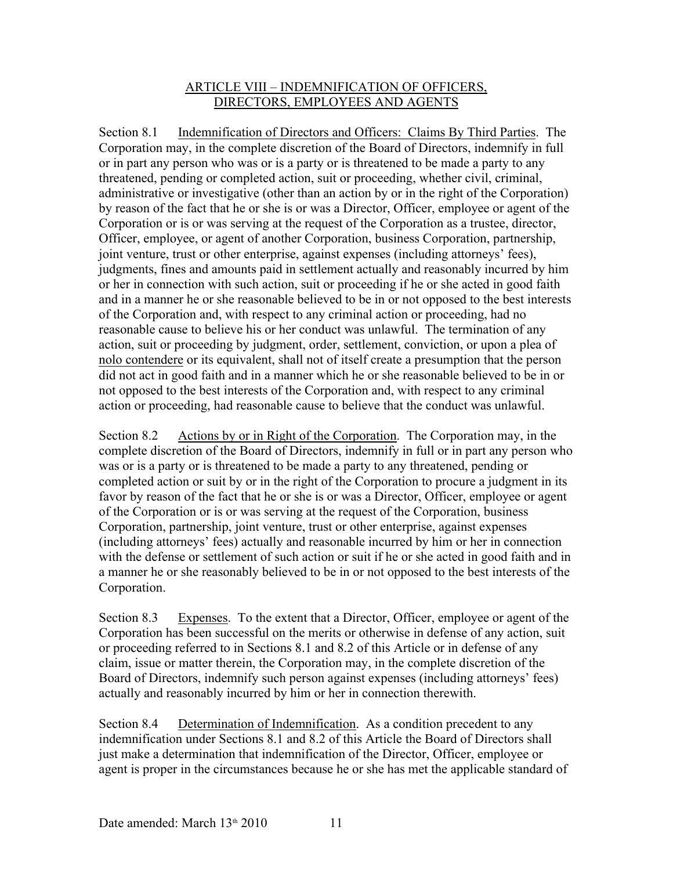#### ARTICLE VIII – INDEMNIFICATION OF OFFICERS, DIRECTORS, EMPLOYEES AND AGENTS

Section 8.1 Indemnification of Directors and Officers: Claims By Third Parties. The Corporation may, in the complete discretion of the Board of Directors, indemnify in full or in part any person who was or is a party or is threatened to be made a party to any threatened, pending or completed action, suit or proceeding, whether civil, criminal, administrative or investigative (other than an action by or in the right of the Corporation) by reason of the fact that he or she is or was a Director, Officer, employee or agent of the Corporation or is or was serving at the request of the Corporation as a trustee, director, Officer, employee, or agent of another Corporation, business Corporation, partnership, joint venture, trust or other enterprise, against expenses (including attorneys' fees), judgments, fines and amounts paid in settlement actually and reasonably incurred by him or her in connection with such action, suit or proceeding if he or she acted in good faith and in a manner he or she reasonable believed to be in or not opposed to the best interests of the Corporation and, with respect to any criminal action or proceeding, had no reasonable cause to believe his or her conduct was unlawful. The termination of any action, suit or proceeding by judgment, order, settlement, conviction, or upon a plea of nolo contendere or its equivalent, shall not of itself create a presumption that the person did not act in good faith and in a manner which he or she reasonable believed to be in or not opposed to the best interests of the Corporation and, with respect to any criminal action or proceeding, had reasonable cause to believe that the conduct was unlawful.

Section 8.2 Actions by or in Right of the Corporation. The Corporation may, in the complete discretion of the Board of Directors, indemnify in full or in part any person who was or is a party or is threatened to be made a party to any threatened, pending or completed action or suit by or in the right of the Corporation to procure a judgment in its favor by reason of the fact that he or she is or was a Director, Officer, employee or agent of the Corporation or is or was serving at the request of the Corporation, business Corporation, partnership, joint venture, trust or other enterprise, against expenses (including attorneys' fees) actually and reasonable incurred by him or her in connection with the defense or settlement of such action or suit if he or she acted in good faith and in a manner he or she reasonably believed to be in or not opposed to the best interests of the Corporation.

Section 8.3 Expenses. To the extent that a Director, Officer, employee or agent of the Corporation has been successful on the merits or otherwise in defense of any action, suit or proceeding referred to in Sections 8.1 and 8.2 of this Article or in defense of any claim, issue or matter therein, the Corporation may, in the complete discretion of the Board of Directors, indemnify such person against expenses (including attorneys' fees) actually and reasonably incurred by him or her in connection therewith.

Section 8.4 Determination of Indemnification. As a condition precedent to any indemnification under Sections 8.1 and 8.2 of this Article the Board of Directors shall just make a determination that indemnification of the Director, Officer, employee or agent is proper in the circumstances because he or she has met the applicable standard of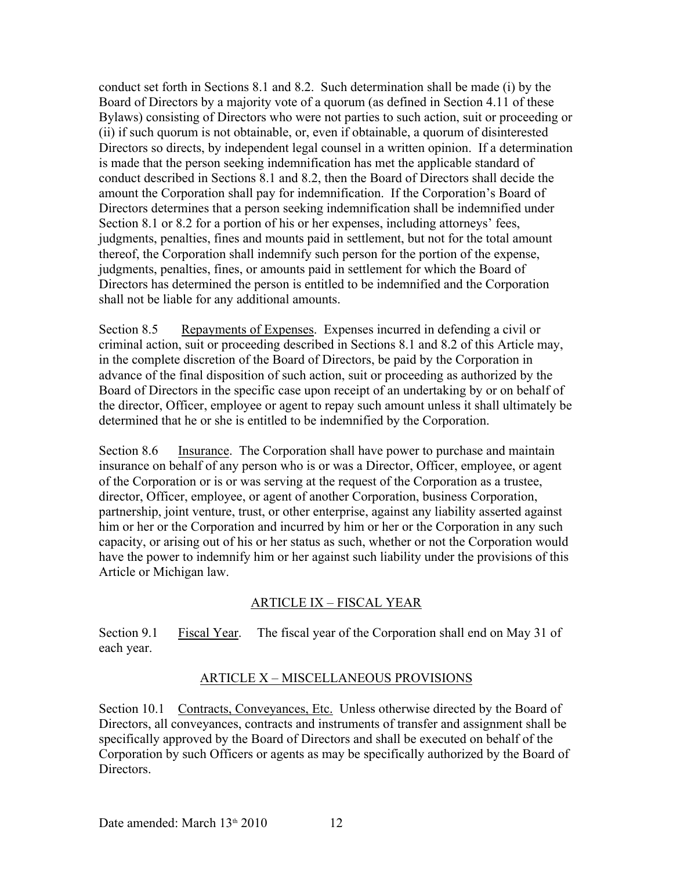conduct set forth in Sections 8.1 and 8.2. Such determination shall be made (i) by the Board of Directors by a majority vote of a quorum (as defined in Section 4.11 of these Bylaws) consisting of Directors who were not parties to such action, suit or proceeding or (ii) if such quorum is not obtainable, or, even if obtainable, a quorum of disinterested Directors so directs, by independent legal counsel in a written opinion. If a determination is made that the person seeking indemnification has met the applicable standard of conduct described in Sections 8.1 and 8.2, then the Board of Directors shall decide the amount the Corporation shall pay for indemnification. If the Corporation's Board of Directors determines that a person seeking indemnification shall be indemnified under Section 8.1 or 8.2 for a portion of his or her expenses, including attorneys' fees, judgments, penalties, fines and mounts paid in settlement, but not for the total amount thereof, the Corporation shall indemnify such person for the portion of the expense, judgments, penalties, fines, or amounts paid in settlement for which the Board of Directors has determined the person is entitled to be indemnified and the Corporation shall not be liable for any additional amounts.

Section 8.5 Repayments of Expenses. Expenses incurred in defending a civil or criminal action, suit or proceeding described in Sections 8.1 and 8.2 of this Article may, in the complete discretion of the Board of Directors, be paid by the Corporation in advance of the final disposition of such action, suit or proceeding as authorized by the Board of Directors in the specific case upon receipt of an undertaking by or on behalf of the director, Officer, employee or agent to repay such amount unless it shall ultimately be determined that he or she is entitled to be indemnified by the Corporation.

Section 8.6 Insurance. The Corporation shall have power to purchase and maintain insurance on behalf of any person who is or was a Director, Officer, employee, or agent of the Corporation or is or was serving at the request of the Corporation as a trustee, director, Officer, employee, or agent of another Corporation, business Corporation, partnership, joint venture, trust, or other enterprise, against any liability asserted against him or her or the Corporation and incurred by him or her or the Corporation in any such capacity, or arising out of his or her status as such, whether or not the Corporation would have the power to indemnify him or her against such liability under the provisions of this Article or Michigan law.

### ARTICLE IX – FISCAL YEAR

Section 9.1 Fiscal Year. The fiscal year of the Corporation shall end on May 31 of each year.

### ARTICLE X – MISCELLANEOUS PROVISIONS

Section 10.1 Contracts, Conveyances, Etc. Unless otherwise directed by the Board of Directors, all conveyances, contracts and instruments of transfer and assignment shall be specifically approved by the Board of Directors and shall be executed on behalf of the Corporation by such Officers or agents as may be specifically authorized by the Board of **Directors**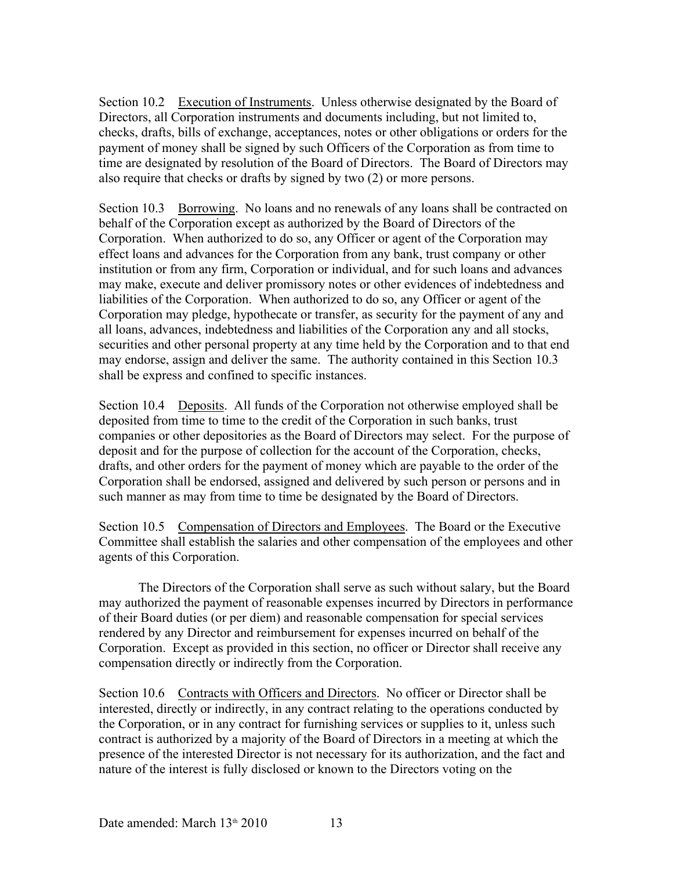Section 10.2 Execution of Instruments. Unless otherwise designated by the Board of Directors, all Corporation instruments and documents including, but not limited to, checks, drafts, bills of exchange, acceptances, notes or other obligations or orders for the payment of money shall be signed by such Officers of the Corporation as from time to time are designated by resolution of the Board of Directors. The Board of Directors may also require that checks or drafts by signed by two (2) or more persons.

Section 10.3 Borrowing. No loans and no renewals of any loans shall be contracted on behalf of the Corporation except as authorized by the Board of Directors of the Corporation. When authorized to do so, any Officer or agent of the Corporation may effect loans and advances for the Corporation from any bank, trust company or other institution or from any firm, Corporation or individual, and for such loans and advances may make, execute and deliver promissory notes or other evidences of indebtedness and liabilities of the Corporation. When authorized to do so, any Officer or agent of the Corporation may pledge, hypothecate or transfer, as security for the payment of any and all loans, advances, indebtedness and liabilities of the Corporation any and all stocks, securities and other personal property at any time held by the Corporation and to that end may endorse, assign and deliver the same. The authority contained in this Section 10.3 shall be express and confined to specific instances.

Section 10.4 Deposits. All funds of the Corporation not otherwise employed shall be deposited from time to time to the credit of the Corporation in such banks, trust companies or other depositories as the Board of Directors may select. For the purpose of deposit and for the purpose of collection for the account of the Corporation, checks, drafts, and other orders for the payment of money which are payable to the order of the Corporation shall be endorsed, assigned and delivered by such person or persons and in such manner as may from time to time be designated by the Board of Directors.

Section 10.5 Compensation of Directors and Employees. The Board or the Executive Committee shall establish the salaries and other compensation of the employees and other agents of this Corporation.

The Directors of the Corporation shall serve as such without salary, but the Board may authorized the payment of reasonable expenses incurred by Directors in performance of their Board duties (or per diem) and reasonable compensation for special services rendered by any Director and reimbursement for expenses incurred on behalf of the Corporation. Except as provided in this section, no officer or Director shall receive any compensation directly or indirectly from the Corporation.

Section 10.6 Contracts with Officers and Directors. No officer or Director shall be interested, directly or indirectly, in any contract relating to the operations conducted by the Corporation, or in any contract for furnishing services or supplies to it, unless such contract is authorized by a majority of the Board of Directors in a meeting at which the presence of the interested Director is not necessary for its authorization, and the fact and nature of the interest is fully disclosed or known to the Directors voting on the